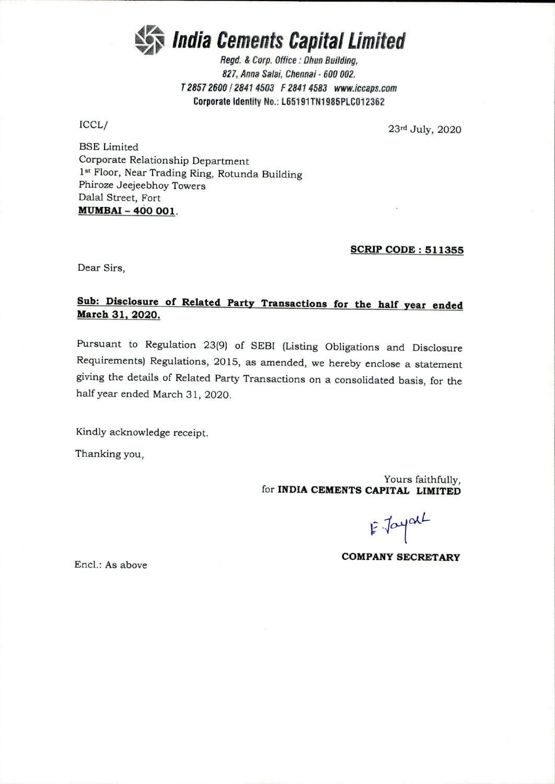

Regd. & Corp. Office : Ohun Building, Regd. & Corp. Office : Ohun 827, Anna Salai, Chennai - 600 002. 827, Anna Salai, Chennai - 600 002. T2857 2600 I 2841 4503 F 2841 4583 www.iccaps.com T 2857 2600 / 2841 4503 F2841 4583 www.iccaps.com Corporate Identity No.: L65191TN1985PLC012362

ICCL/

 $\text{ICCL} / 23^{\text{rd}}$  July, 2020

BSE Limited BSE Limited Corporate Relationship Department Corporate Relationship Department 1st Floor, Near Trading Ring, Rotunda Building 1st Floor, Near Trading Ring, Rotunda Building Phiroze Jeejeebhoy Towers Phiroze Jeejeebhoy Towers Dalal Street, Fort Dalai Street, Fort MUMBAI - 400 001. **MUMBAI - 400 001.** 

## SCRIP CODE: 511355 **SCRIP CODE: 511355**

Dear Sirs, Dear Sirs,

## Sub: Disclosure of Related Party Transactions for the half year ended **Sub: Disclosure of Related Party Transactions for the half** year **ended**  March 31, 2020. **March 31, 2020.**

Pursuant to Regulation 23(9) of SEBI (Listing Obligations and Disclosure Pursuant to Regulation 23(9) of SEBI (Listing Obligations and Disclosure Requirements) Regulations, 2015, as amended, we hereby enclose a statement giving the details of Related Party Transactions on <sup>a</sup> consolidated basis, for the giving the details of Related Party Transactions on a consolidated basis, for the half year ended March 31, 2020. half year ended March 31, 2020.

Kindly acknowledge receipt. Kindly acknowledge receipt.

Thanking you, Thanking you,

Yours faithfully, Yours faithfully, for INDIA CEMENTS CAPITAL LIMITED for **INDIA CEMENTS CAPITAL LIMITED** 

E Jayal

COMPANY SECRETARY **COMPANY SECRETARY** 

Encl.: As above End.: As above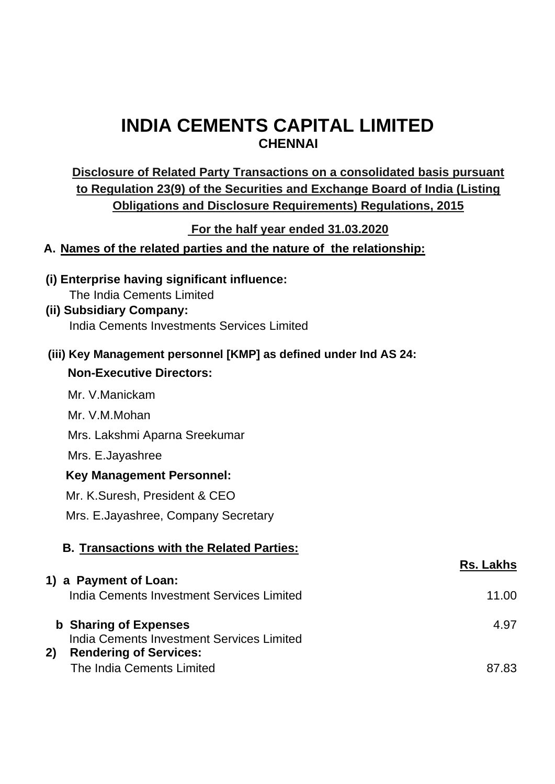## **INDIA CEMENTS CAPITAL LIMITED CHENNAI**

## **Disclosure of Related Party Transactions on a consolidated basis pursuant to Regulation 23(9) of the Securities and Exchange Board of India (Listing Obligations and Disclosure Requirements) Regulations, 2015**

**For the half year ended 31.03.2020**

**A. Names of the related parties and the nature of the relationship:**

The India Cements Limited

| (i) Enterprise having significant influence:<br>The India Cements Limited        |                  |
|----------------------------------------------------------------------------------|------------------|
| (ii) Subsidiary Company:                                                         |                  |
| India Cements Investments Services Limited                                       |                  |
| (iii) Key Management personnel [KMP] as defined under Ind AS 24:                 |                  |
| <b>Non-Executive Directors:</b>                                                  |                  |
| Mr. V.Manickam                                                                   |                  |
| Mr. V.M.Mohan                                                                    |                  |
| Mrs. Lakshmi Aparna Sreekumar                                                    |                  |
| Mrs. E.Jayashree                                                                 |                  |
| <b>Key Management Personnel:</b>                                                 |                  |
| Mr. K.Suresh, President & CEO                                                    |                  |
| Mrs. E. Jayashree, Company Secretary                                             |                  |
| <b>B. Transactions with the Related Parties:</b>                                 |                  |
|                                                                                  | <b>Rs. Lakhs</b> |
| 1) a Payment of Loan:                                                            |                  |
| India Cements Investment Services Limited                                        | 11.00            |
| <b>b</b> Sharing of Expenses                                                     | 4.97             |
| India Cements Investment Services Limited<br><b>Rendering of Services:</b><br>2) |                  |

87.83